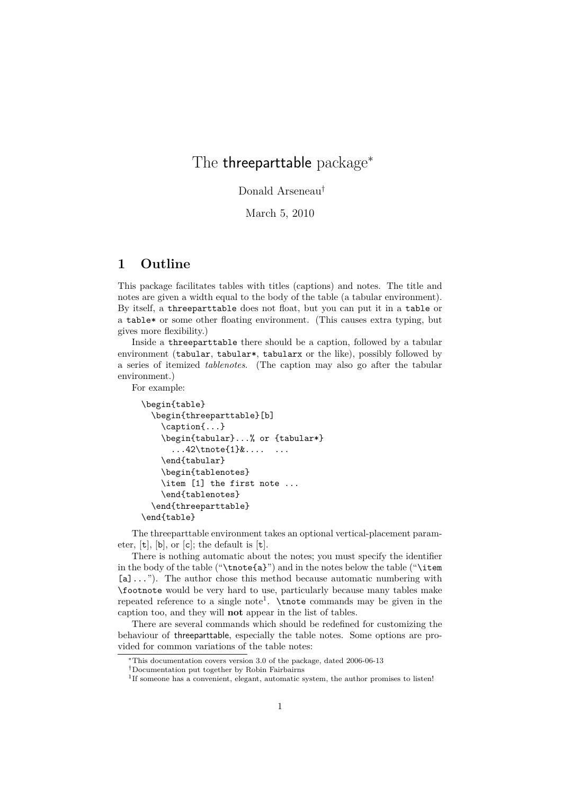## The threeparttable package*<sup>∗</sup>*

Donald Arseneau*†*

March 5, 2010

## **1 Outline**

This package facilitates tables with titles (captions) and notes. The title and notes are given a width equal to the body of the table (a tabular environment). By itself, a threeparttable does not float, but you can put it in a table or a table\* or some other floating environment. (This causes extra typing, but gives more flexibility.)

Inside a threeparttable there should be a caption, followed by a tabular environment (tabular, tabular\*, tabularx or the like), possibly followed by a series of itemized *tablenotes*. (The caption may also go after the tabular environment.)

For example:

```
\begin{table}
  \begin{threeparttable}[b]
    \caption{...}
    \begin{tabular}...% or {tabular*}
      \ldots..42\tnote\{1\}\&\ldots...
    \end{tabular}
    \begin{tablenotes}
    \item [1] the first note ...
    \end{tablenotes}
  \end{threeparttable}
\end{table}
```
The threeparttable environment takes an optional vertical-placement parameter, [t], [b], or [c]; the default is [t].

There is nothing automatic about the notes; you must specify the identifier in the body of the table ("\tnote{a}") and in the notes below the table ("\item [a]..."). The author chose this method because automatic numbering with \footnote would be very hard to use, particularly because many tables make repeated reference to a single note<sup>1</sup>.  $\theta$  commands may be given in the caption too, and they will **not** appear in the list of tables.

There are several commands which should be redefined for customizing the behaviour of threeparttable, especially the table notes. Some options are provided for common variations of the table notes:

*<sup>∗</sup>*This documentation covers version 3.0 of the package, dated 2006-06-13

*<sup>†</sup>*Documentation put together by Robin Fairbairns

<sup>&</sup>lt;sup>1</sup>If someone has a convenient, elegant, automatic system, the author promises to listen!